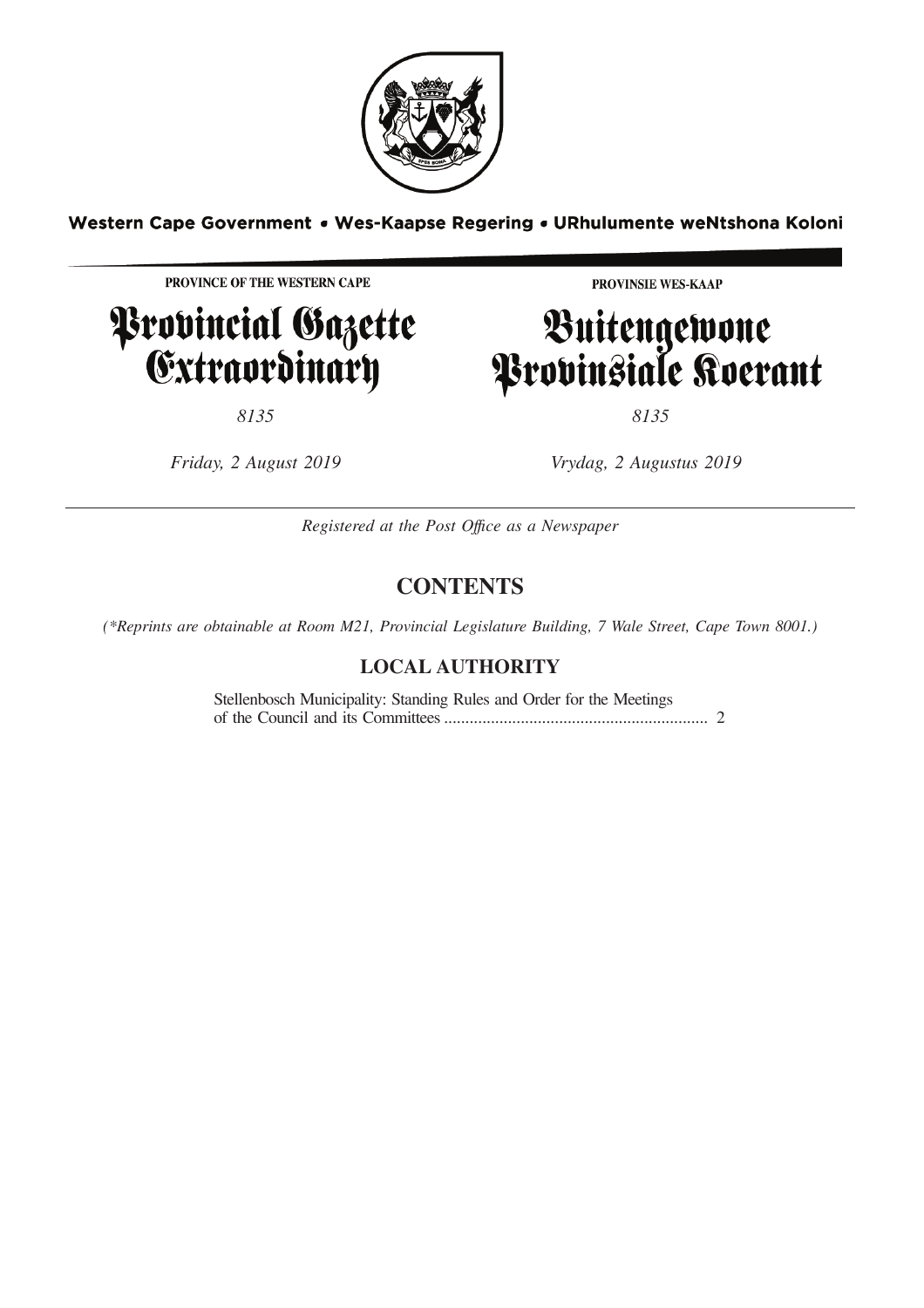

Western Cape Government . Wes-Kaapse Regering . URhulumente weNtshona Koloni

PROVINCE OF THE WESTERN CAPE

# Provincial Gazette<br>Extraordinary

PROVINSIE WES-KAAP

# Buitengewone<br>Provinsiale Koerant

*8135 8135*

*Friday, 2 August 2019 Vrydag, 2 Augustus 2019*

*Registered at the Post Offıce as a Newspaper*

### **CONTENTS**

*(\*Reprints are obtainable at Room M21, Provincial Legislature Building, 7 Wale Street, Cape Town 8001.)*

### **LOCAL AUTHORITY**

Stellenbosch Municipality: Standing Rules and Order for the Meetings of the Council and its Committees.............................................................. 2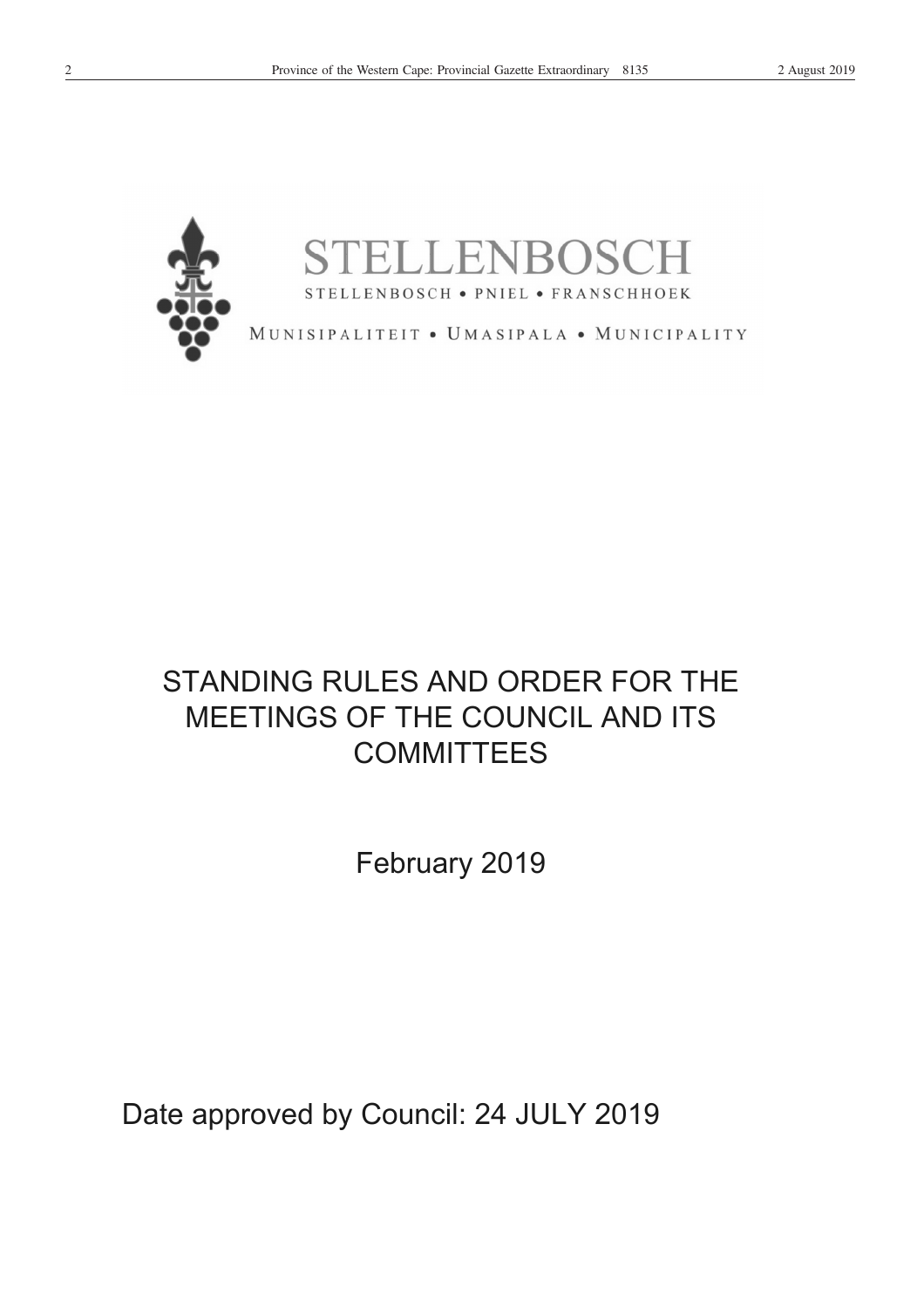

## STANDING RULES AND ORDER FOR THE MEETINGS OF THE COUNCIL AND ITS **COMMITTEES**

Febru ary 20 19

Date approved by Council: 24 JULY 2019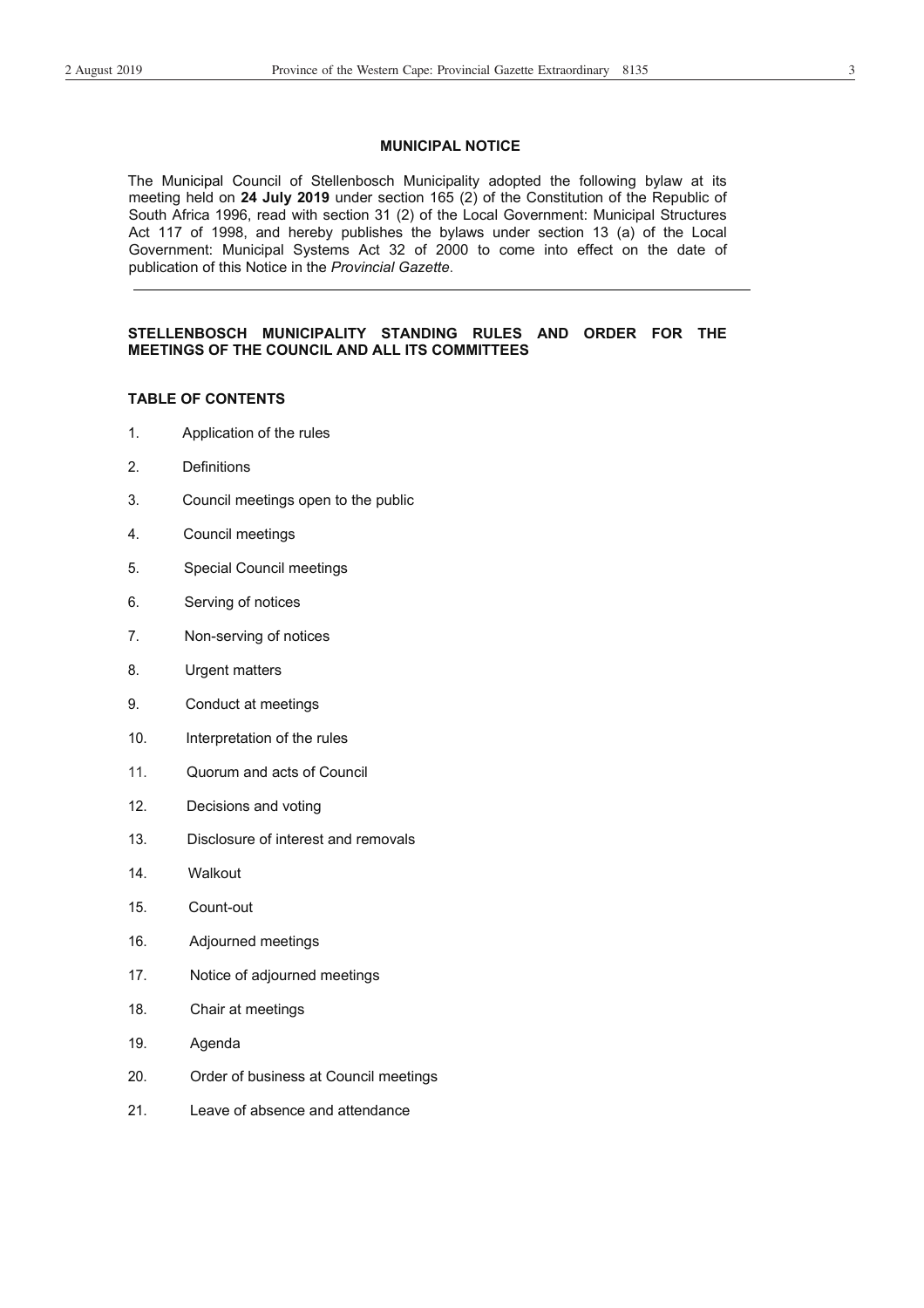#### **MUNICIPAL NOTICE**

The Municipal Council of Stellenbosch Municipality adopted the following bylaw at its meeting held on **24 July 2019** under section 165 (2) of the Constitution of the Republic of South Africa 1996, read with section 31 (2) of the Local Government: Municipal Structures Act 117 of 1998, and hereby publishes the bylaws under section 13 (a) of the Local Government: Municipal Systems Act 32 of 2000 to come into effect on the date of publication of this Notice in the *Provincial Gazette*.

#### **STELLENBOSCH MUNICIPALITY STANDING RULES AND ORDER FOR THE MEETINGS OF THE COUNCIL AND ALL ITS COMMITTEES**

#### **TABLE OF CONTENTS**

- 1. Application of the rules
- 2. Definitions
- 3. Council meetings open to the public
- 4. Council meetings
- 5. Special Council meetings
- 6. Serving of notices
- 7. Non-serving of notices
- 8. Urgent matters
- 9. Conduct at meetings
- 10. Interpretation of the rules
- 11. Quorum and acts of Council
- 12. Decisions and voting
- 13. Disclosure of interest and removals
- 14. Walkout
- 15. Count-out
- 16. Adjourned meetings
- 17. Notice of adjourned meetings
- 18. Chair at meetings
- 19. Agenda
- 20. Order of business at Council meetings
- 21. Leave of absence and attendance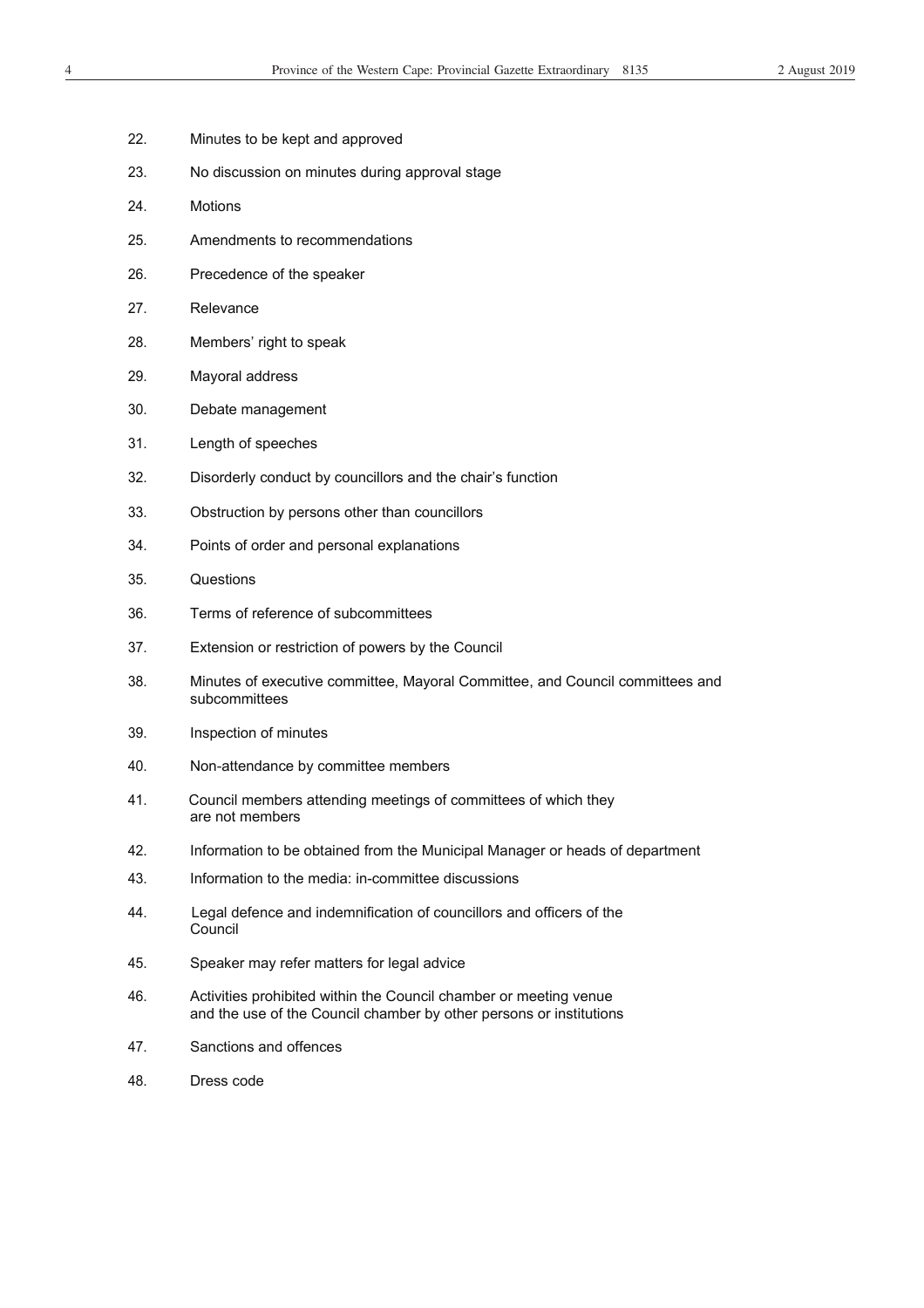- 22. Minutes to be kept and approved
- 23. No discussion on minutes during approval stage
- 24. Motions
- 25. Amendments to recommendations
- 26. Precedence of the speaker
- 27. Relevance
- 28. Members' right to speak
- 29. Mayoral address
- 30. Debate management
- 31. Length of speeches
- 32. Disorderly conduct by councillors and the chair's function
- 33. Obstruction by persons other than councillors
- 34. Points of order and personal explanations
- 35. Questions
- 36. Terms of reference of subcommittees
- 37. Extension or restriction of powers by the Council
- 38. Minutes of executive committee, Mayoral Committee, and Council committees and subcommittees
- 39. Inspection of minutes
- 40. Non-attendance by committee members
- 41. Council members attending meetings of committees of which they are not members
- 42. Information to be obtained from the Municipal Manager or heads of department
- 43. Information to the media: in-committee discussions
- 44. Legal defence and indemnification of councillors and officers of the Council
- 45. Speaker may refer matters for legal advice
- 46. Activities prohibited within the Council chamber or meeting venue and the use of the Council chamber by other persons or institutions
- 47. Sanctions and offences
- 48. Dress code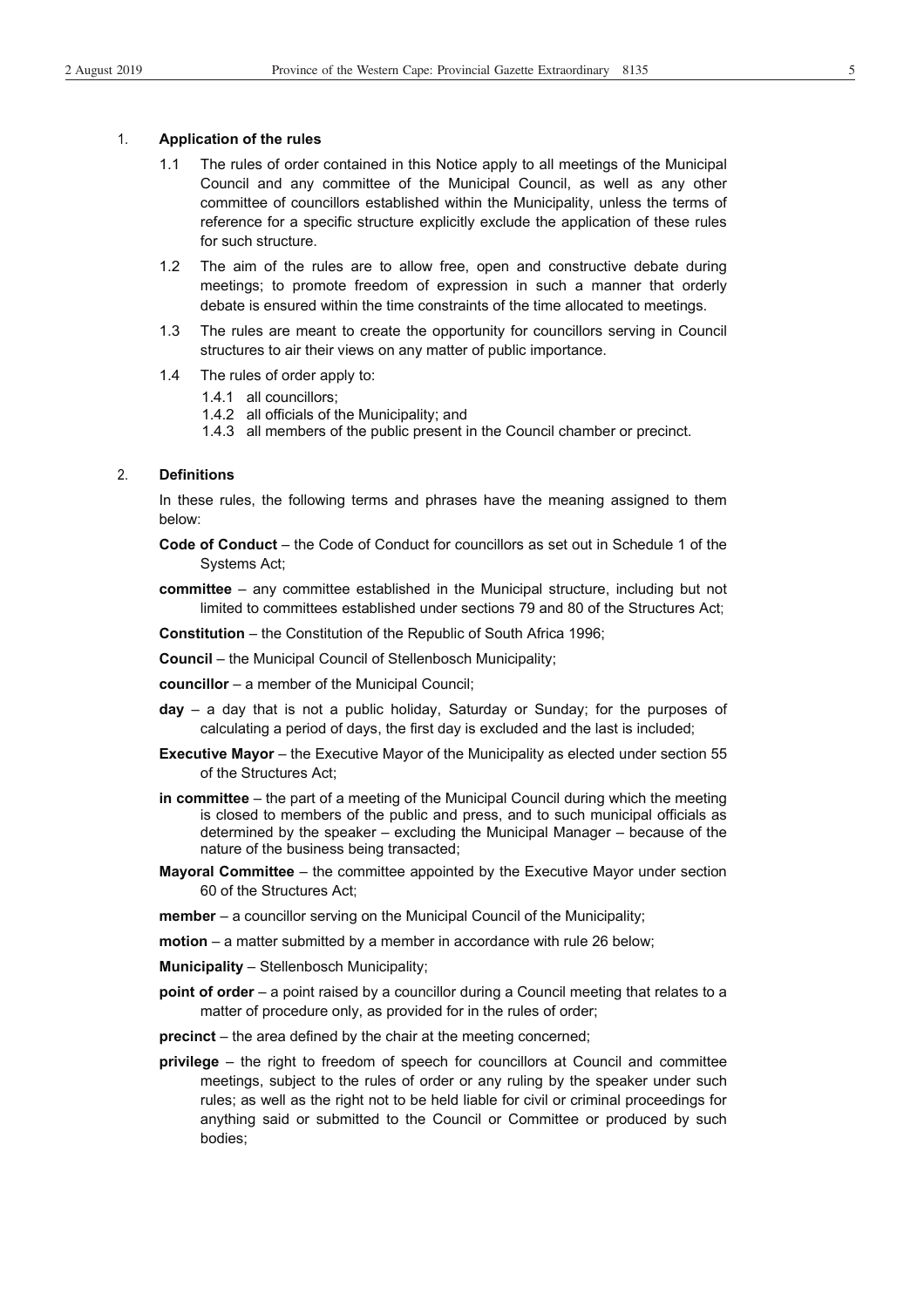#### 1. **Application of the rules**

- 1.1 The rules of order contained in this Notice apply to all meetings of the Municipal Council and any committee of the Municipal Council, as well as any other committee of councillors established within the Municipality, unless the terms of reference for a specific structure explicitly exclude the application of these rules for such structure.
- 1.2 The aim of the rules are to allow free, open and constructive debate during meetings; to promote freedom of expression in such a manner that orderly debate is ensured within the time constraints of the time allocated to meetings.
- 1.3 The rules are meant to create the opportunity for councillors serving in Council structures to air their views on any matter of public importance.
- 1.4 The rules of order apply to:
	- 1.4.1 all councillors;
	- 1.4.2 all officials of the Municipality; and
	- 1.4.3 all members of the public present in the Council chamber or precinct.

#### 2. **Definitions**

In these rules, the following terms and phrases have the meaning assigned to them below:

- **Code of Conduct** the Code of Conduct for councillors as set out in Schedule 1 of the Systems Act;
- **committee** any committee established in the Municipal structure, including but not limited to committees established under sections 79 and 80 of the Structures Act;

**Constitution** – the Constitution of the Republic of South Africa 1996;

- **Council** the Municipal Council of Stellenbosch Municipality;
- **councillor** a member of the Municipal Council;
- **day** a day that is not a public holiday, Saturday or Sunday; for the purposes of calculating a period of days, the first day is excluded and the last is included;
- **Executive Mayor** the Executive Mayor of the Municipality as elected under section 55 of the Structures Act;
- **in committee** the part of a meeting of the Municipal Council during which the meeting is closed to members of the public and press, and to such municipal officials as determined by the speaker – excluding the Municipal Manager – because of the nature of the business being transacted;
- **Mayoral Committee** the committee appointed by the Executive Mayor under section 60 of the Structures Act;
- **member** a councillor serving on the Municipal Council of the Municipality;
- **motion** a matter submitted by a member in accordance with rule 26 below;
- **Municipality**  Stellenbosch Municipality;
- **point of order** a point raised by a councillor during a Council meeting that relates to a matter of procedure only, as provided for in the rules of order;
- **precinct** the area defined by the chair at the meeting concerned;
- **privilege** the right to freedom of speech for councillors at Council and committee meetings, subject to the rules of order or any ruling by the speaker under such rules; as well as the right not to be held liable for civil or criminal proceedings for anything said or submitted to the Council or Committee or produced by such bodies;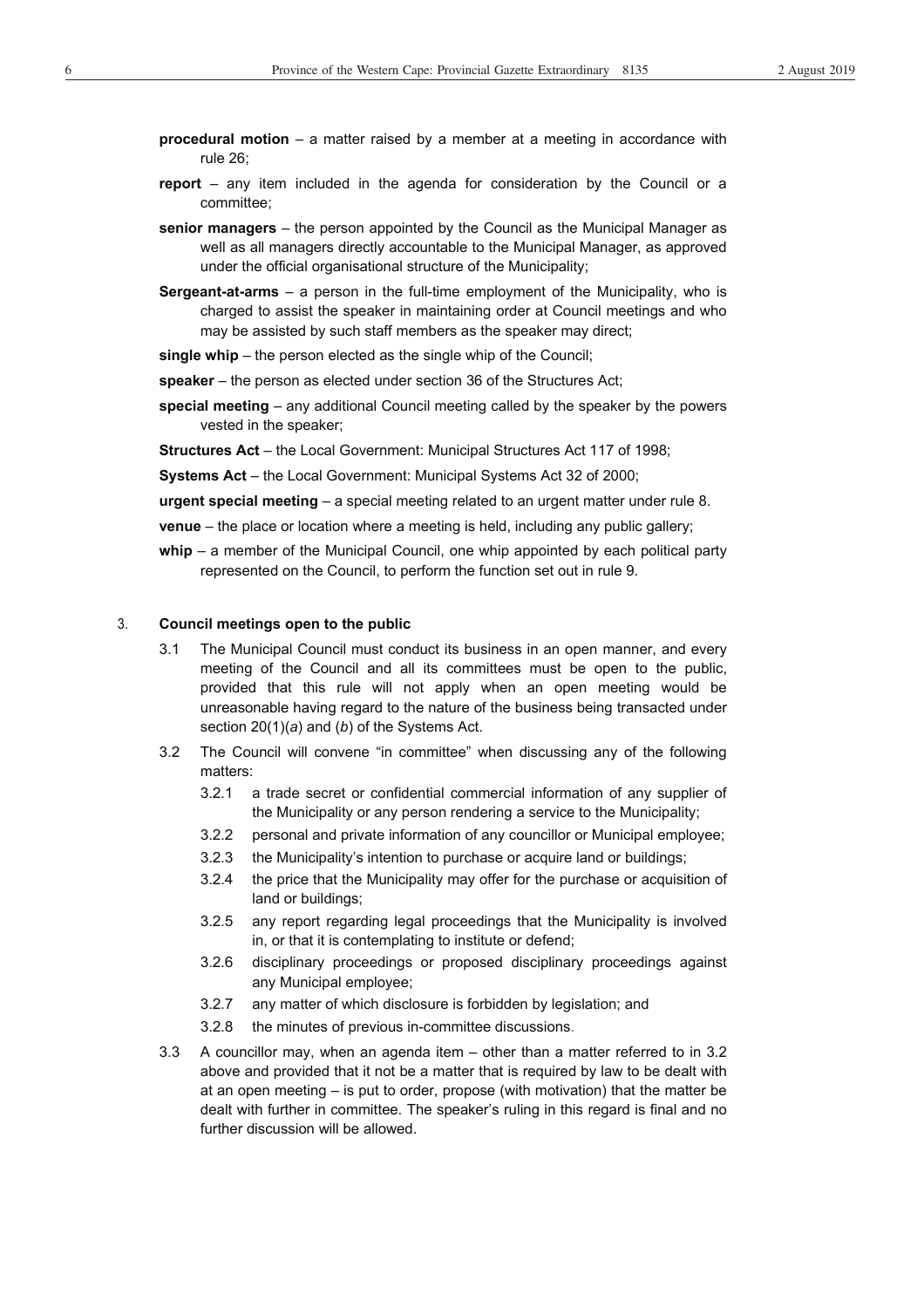- **procedural motion** a matter raised by a member at a meeting in accordance with rule 26;
- **report** any item included in the agenda for consideration by the Council or a committee;
- **senior managers**  the person appointed by the Council as the Municipal Manager as well as all managers directly accountable to the Municipal Manager, as approved under the official organisational structure of the Municipality;
- **Sergeant-at-arms**  a person in the full-time employment of the Municipality, who is charged to assist the speaker in maintaining order at Council meetings and who may be assisted by such staff members as the speaker may direct;

**single whip** – the person elected as the single whip of the Council;

- **speaker**  the person as elected under section 36 of the Structures Act;
- **special meeting** any additional Council meeting called by the speaker by the powers vested in the speaker;

**Structures Act** – the Local Government: Municipal Structures Act 117 of 1998;

**Systems Act** – the Local Government: Municipal Systems Act 32 of 2000;

**urgent special meeting** – a special meeting related to an urgent matter under rule 8.

**venue** – the place or location where a meeting is held, including any public gallery;

whip – a member of the Municipal Council, one whip appointed by each political party represented on the Council, to perform the function set out in rule 9.

#### 3. **Council meetings open to the public**

- 3.1 The Municipal Council must conduct its business in an open manner, and every meeting of the Council and all its committees must be open to the public, provided that this rule will not apply when an open meeting would be unreasonable having regard to the nature of the business being transacted under section 20(1)(*a*) and (*b*) of the Systems Act.
- 3.2 The Council will convene "in committee" when discussing any of the following matters:
	- 3.2.1 a trade secret or confidential commercial information of any supplier of the Municipality or any person rendering a service to the Municipality;
	- 3.2.2 personal and private information of any councillor or Municipal employee;
	- 3.2.3 the Municipality's intention to purchase or acquire land or buildings;
	- 3.2.4 the price that the Municipality may offer for the purchase or acquisition of land or buildings;
	- 3.2.5 any report regarding legal proceedings that the Municipality is involved in, or that it is contemplating to institute or defend;
	- 3.2.6 disciplinary proceedings or proposed disciplinary proceedings against any Municipal employee;
	- 3.2.7 any matter of which disclosure is forbidden by legislation; and
	- 3.2.8 the minutes of previous in-committee discussions.
- 3.3 A councillor may, when an agenda item other than a matter referred to in 3.2 above and provided that it not be a matter that is required by law to be dealt with at an open meeting – is put to order, propose (with motivation) that the matter be dealt with further in committee. The speaker's ruling in this regard is final and no further discussion will be allowed.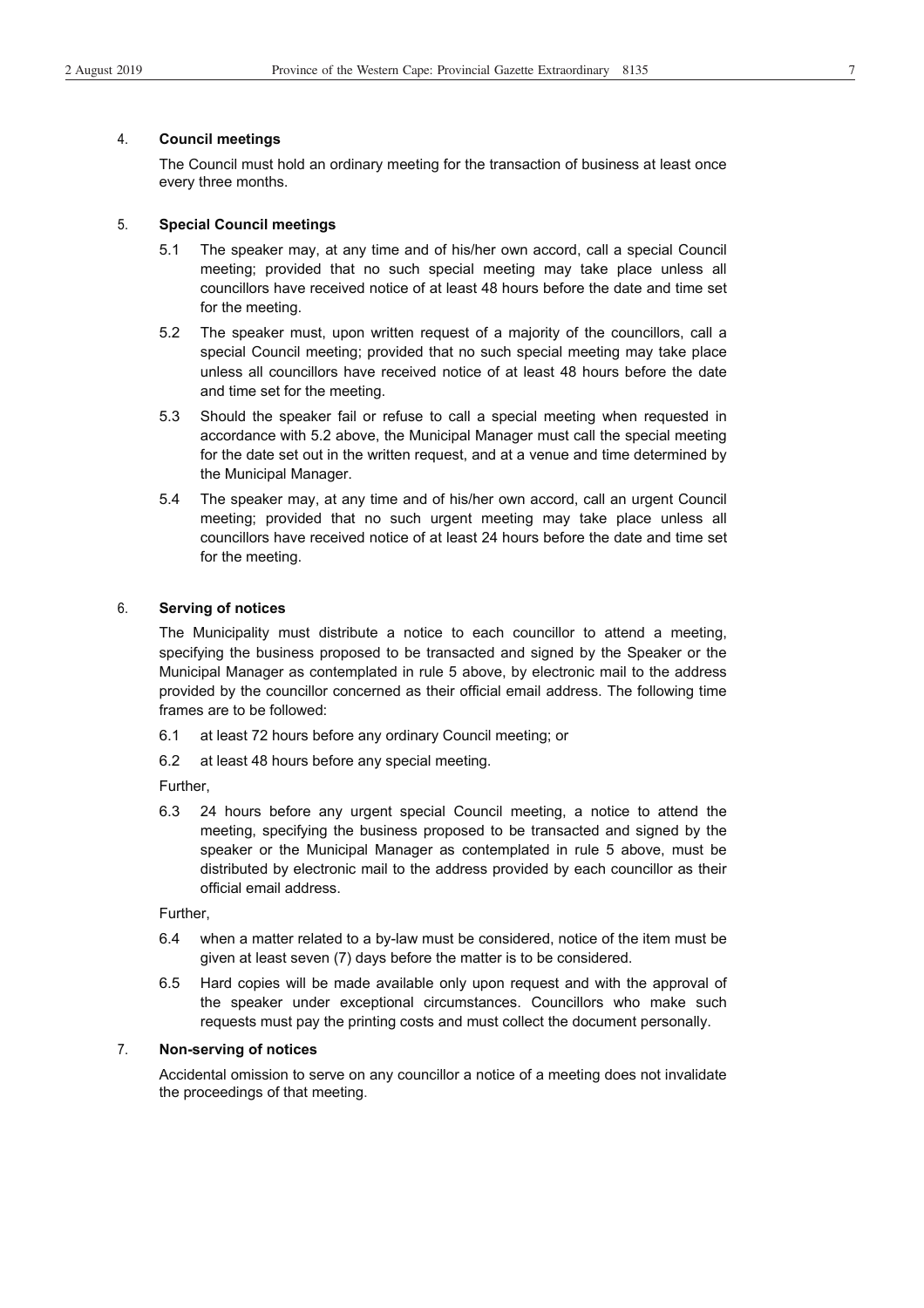#### 4. **Council meetings**

The Council must hold an ordinary meeting for the transaction of business at least once every three months.

#### 5. **Special Council meetings**

- 5.1 The speaker may, at any time and of his/her own accord, call a special Council meeting; provided that no such special meeting may take place unless all councillors have received notice of at least 48 hours before the date and time set for the meeting.
- 5.2 The speaker must, upon written request of a majority of the councillors, call a special Council meeting; provided that no such special meeting may take place unless all councillors have received notice of at least 48 hours before the date and time set for the meeting.
- 5.3 Should the speaker fail or refuse to call a special meeting when requested in accordance with 5.2 above, the Municipal Manager must call the special meeting for the date set out in the written request, and at a venue and time determined by the Municipal Manager.
- 5.4 The speaker may, at any time and of his/her own accord, call an urgent Council meeting; provided that no such urgent meeting may take place unless all councillors have received notice of at least 24 hours before the date and time set for the meeting.

#### 6. **Serving of notices**

The Municipality must distribute a notice to each councillor to attend a meeting, specifying the business proposed to be transacted and signed by the Speaker or the Municipal Manager as contemplated in rule 5 above, by electronic mail to the address provided by the councillor concerned as their official email address. The following time frames are to be followed:

- 6.1 at least 72 hours before any ordinary Council meeting; or
- 6.2 at least 48 hours before any special meeting.

Further,

6.3 24 hours before any urgent special Council meeting, a notice to attend the meeting, specifying the business proposed to be transacted and signed by the speaker or the Municipal Manager as contemplated in rule 5 above, must be distributed by electronic mail to the address provided by each councillor as their official email address.

Further,

- 6.4 when a matter related to a by-law must be considered, notice of the item must be given at least seven (7) days before the matter is to be considered.
- 6.5 Hard copies will be made available only upon request and with the approval of the speaker under exceptional circumstances. Councillors who make such requests must pay the printing costs and must collect the document personally.

#### 7. **Non-serving of notices**

Accidental omission to serve on any councillor a notice of a meeting does not invalidate the proceedings of that meeting.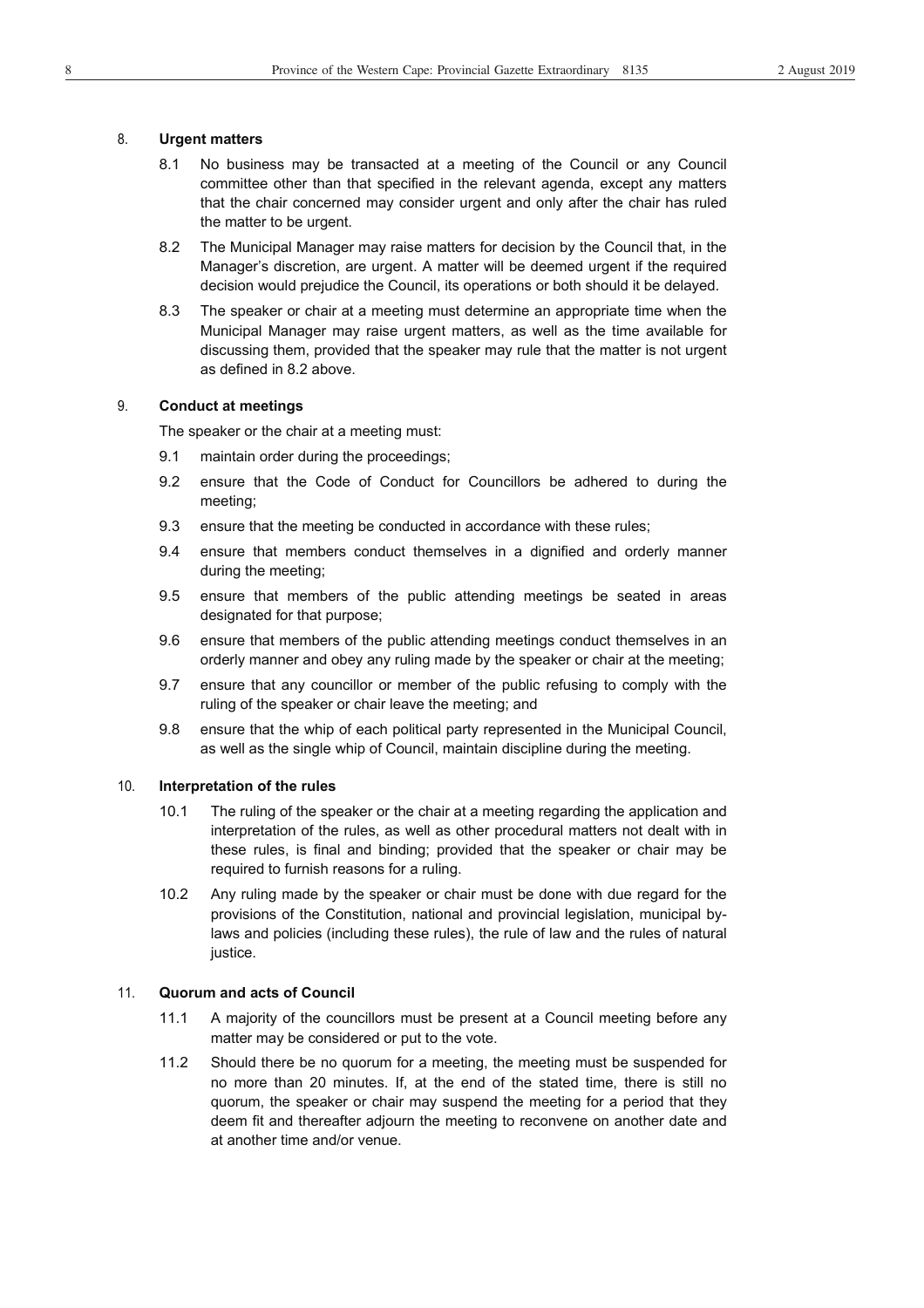#### 8. **Urgent matters**

- 8.1 No business may be transacted at a meeting of the Council or any Council committee other than that specified in the relevant agenda, except any matters that the chair concerned may consider urgent and only after the chair has ruled the matter to be urgent.
- 8.2 The Municipal Manager may raise matters for decision by the Council that, in the Manager's discretion, are urgent. A matter will be deemed urgent if the required decision would prejudice the Council, its operations or both should it be delayed.
- 8.3 The speaker or chair at a meeting must determine an appropriate time when the Municipal Manager may raise urgent matters, as well as the time available for discussing them, provided that the speaker may rule that the matter is not urgent as defined in 8.2 above.

#### 9. **Conduct at meetings**

The speaker or the chair at a meeting must:

- 9.1 maintain order during the proceedings;
- 9.2 ensure that the Code of Conduct for Councillors be adhered to during the meeting;
- 9.3 ensure that the meeting be conducted in accordance with these rules;
- 9.4 ensure that members conduct themselves in a dignified and orderly manner during the meeting;
- 9.5 ensure that members of the public attending meetings be seated in areas designated for that purpose;
- 9.6 ensure that members of the public attending meetings conduct themselves in an orderly manner and obey any ruling made by the speaker or chair at the meeting;
- 9.7 ensure that any councillor or member of the public refusing to comply with the ruling of the speaker or chair leave the meeting; and
- 9.8 ensure that the whip of each political party represented in the Municipal Council, as well as the single whip of Council, maintain discipline during the meeting.

#### 10. **Interpretation of the rules**

- 10.1 The ruling of the speaker or the chair at a meeting regarding the application and interpretation of the rules, as well as other procedural matters not dealt with in these rules, is final and binding; provided that the speaker or chair may be required to furnish reasons for a ruling.
- 10.2 Any ruling made by the speaker or chair must be done with due regard for the provisions of the Constitution, national and provincial legislation, municipal bylaws and policies (including these rules), the rule of law and the rules of natural justice.

#### 11. **Quorum and acts of Council**

- 11.1 A majority of the councillors must be present at a Council meeting before any matter may be considered or put to the vote.
- 11.2 Should there be no quorum for a meeting, the meeting must be suspended for no more than 20 minutes. If, at the end of the stated time, there is still no quorum, the speaker or chair may suspend the meeting for a period that they deem fit and thereafter adjourn the meeting to reconvene on another date and at another time and/or venue.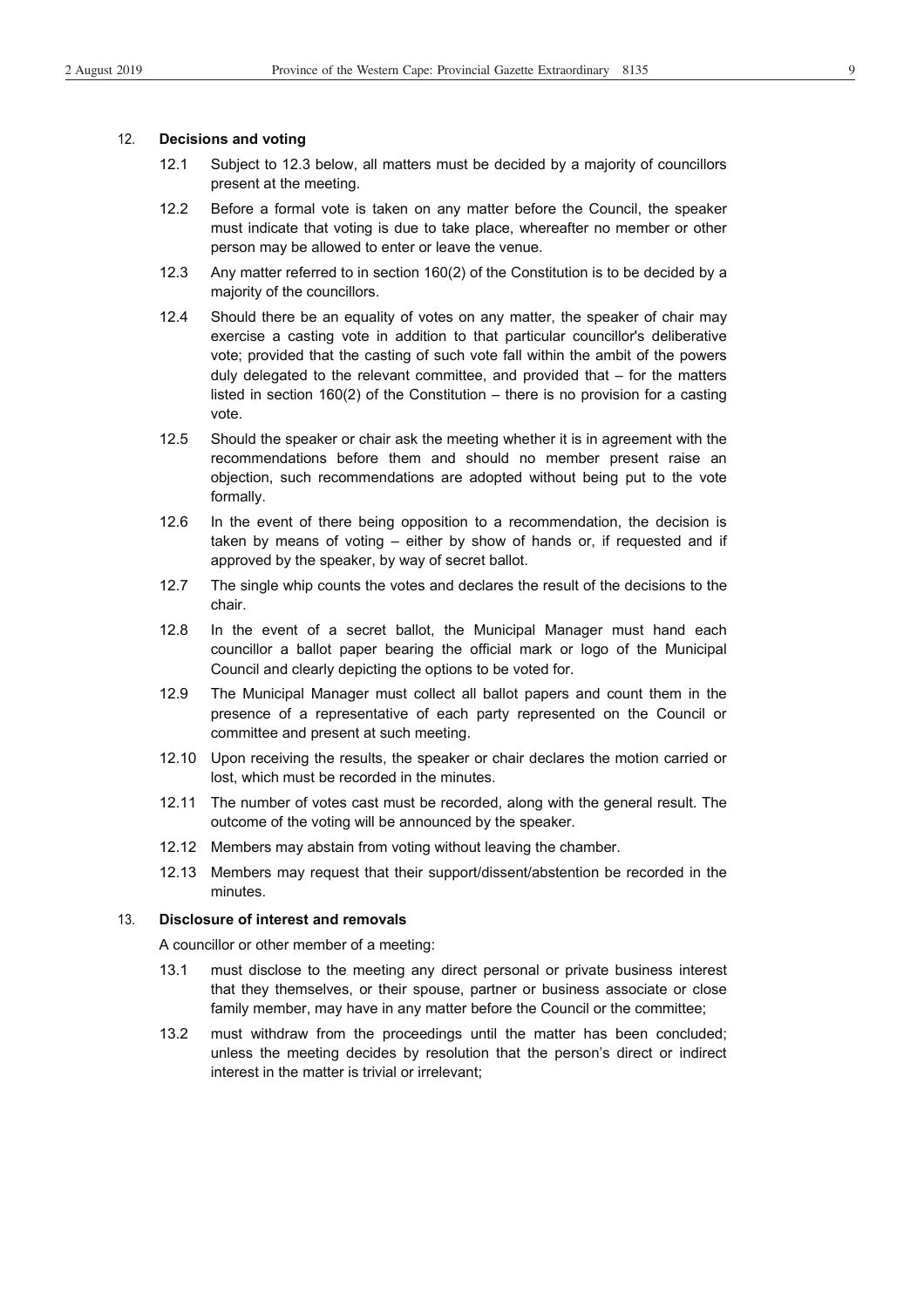#### 12. **Decisions and voting**

- 12.1 Subject to 12.3 below, all matters must be decided by a majority of councillors present at the meeting.
- 12.2 Before a formal vote is taken on any matter before the Council, the speaker must indicate that voting is due to take place, whereafter no member or other person may be allowed to enter or leave the venue.
- 12.3 Any matter referred to in section 160(2) of the Constitution is to be decided by a majority of the councillors.
- 12.4 Should there be an equality of votes on any matter, the speaker of chair may exercise a casting vote in addition to that particular councillor's deliberative vote; provided that the casting of such vote fall within the ambit of the powers duly delegated to the relevant committee, and provided that – for the matters listed in section 160(2) of the Constitution – there is no provision for a casting vote.
- 12.5 Should the speaker or chair ask the meeting whether it is in agreement with the recommendations before them and should no member present raise an objection, such recommendations are adopted without being put to the vote formally.
- 12.6 In the event of there being opposition to a recommendation, the decision is taken by means of voting – either by show of hands or, if requested and if approved by the speaker, by way of secret ballot.
- 12.7 The single whip counts the votes and declares the result of the decisions to the chair.
- 12.8 In the event of a secret ballot, the Municipal Manager must hand each councillor a ballot paper bearing the official mark or logo of the Municipal Council and clearly depicting the options to be voted for.
- 12.9 The Municipal Manager must collect all ballot papers and count them in the presence of a representative of each party represented on the Council or committee and present at such meeting.
- 12.10 Upon receiving the results, the speaker or chair declares the motion carried or lost, which must be recorded in the minutes.
- 12.11 The number of votes cast must be recorded, along with the general result. The outcome of the voting will be announced by the speaker.
- 12.12 Members may abstain from voting without leaving the chamber.
- 12.13 Members may request that their support/dissent/abstention be recorded in the minutes.

#### 13. **Disclosure of interest and removals**

A councillor or other member of a meeting:

- 13.1 must disclose to the meeting any direct personal or private business interest that they themselves, or their spouse, partner or business associate or close family member, may have in any matter before the Council or the committee;
- 13.2 must withdraw from the proceedings until the matter has been concluded; unless the meeting decides by resolution that the person's direct or indirect interest in the matter is trivial or irrelevant;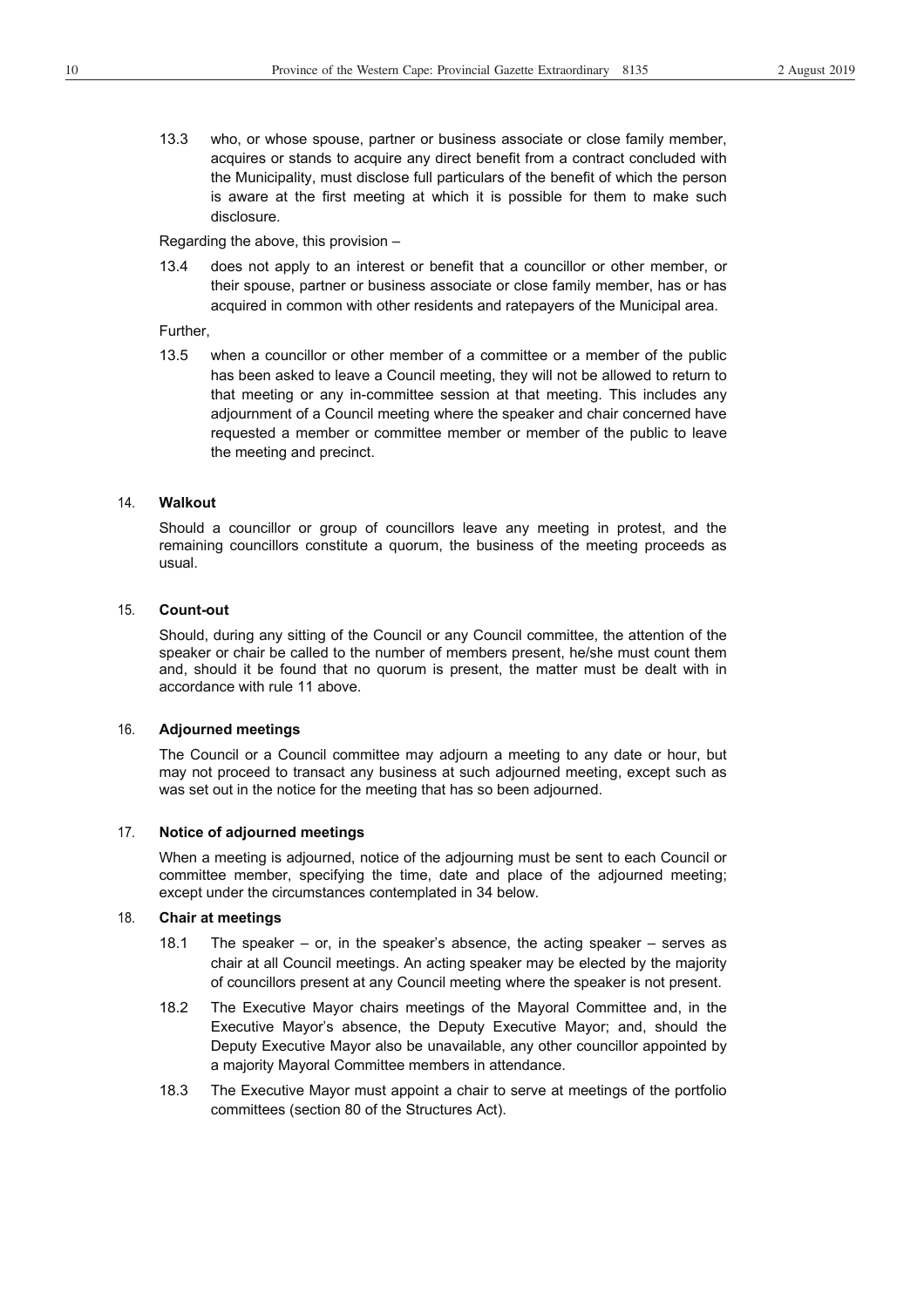13.3 who, or whose spouse, partner or business associate or close family member, acquires or stands to acquire any direct benefit from a contract concluded with the Municipality, must disclose full particulars of the benefit of which the person is aware at the first meeting at which it is possible for them to make such disclosure.

Regarding the above, this provision –

13.4 does not apply to an interest or benefit that a councillor or other member, or their spouse, partner or business associate or close family member, has or has acquired in common with other residents and ratepayers of the Municipal area.

Further,

13.5 when a councillor or other member of a committee or a member of the public has been asked to leave a Council meeting, they will not be allowed to return to that meeting or any in-committee session at that meeting. This includes any adjournment of a Council meeting where the speaker and chair concerned have requested a member or committee member or member of the public to leave the meeting and precinct.

#### 14. **Walkout**

Should a councillor or group of councillors leave any meeting in protest, and the remaining councillors constitute a quorum, the business of the meeting proceeds as usual.

#### 15. **Count-out**

Should, during any sitting of the Council or any Council committee, the attention of the speaker or chair be called to the number of members present, he/she must count them and, should it be found that no quorum is present, the matter must be dealt with in accordance with rule 11 above.

#### 16. **Adjourned meetings**

The Council or a Council committee may adjourn a meeting to any date or hour, but may not proceed to transact any business at such adjourned meeting, except such as was set out in the notice for the meeting that has so been adjourned.

#### 17. **Notice of adjourned meetings**

When a meeting is adjourned, notice of the adjourning must be sent to each Council or committee member, specifying the time, date and place of the adjourned meeting; except under the circumstances contemplated in 34 below.

#### 18. **Chair at meetings**

- 18.1 The speaker or, in the speaker's absence, the acting speaker serves as chair at all Council meetings. An acting speaker may be elected by the majority of councillors present at any Council meeting where the speaker is not present.
- 18.2 The Executive Mayor chairs meetings of the Mayoral Committee and, in the Executive Mayor's absence, the Deputy Executive Mayor; and, should the Deputy Executive Mayor also be unavailable, any other councillor appointed by a majority Mayoral Committee members in attendance.
- 18.3 The Executive Mayor must appoint a chair to serve at meetings of the portfolio committees (section 80 of the Structures Act).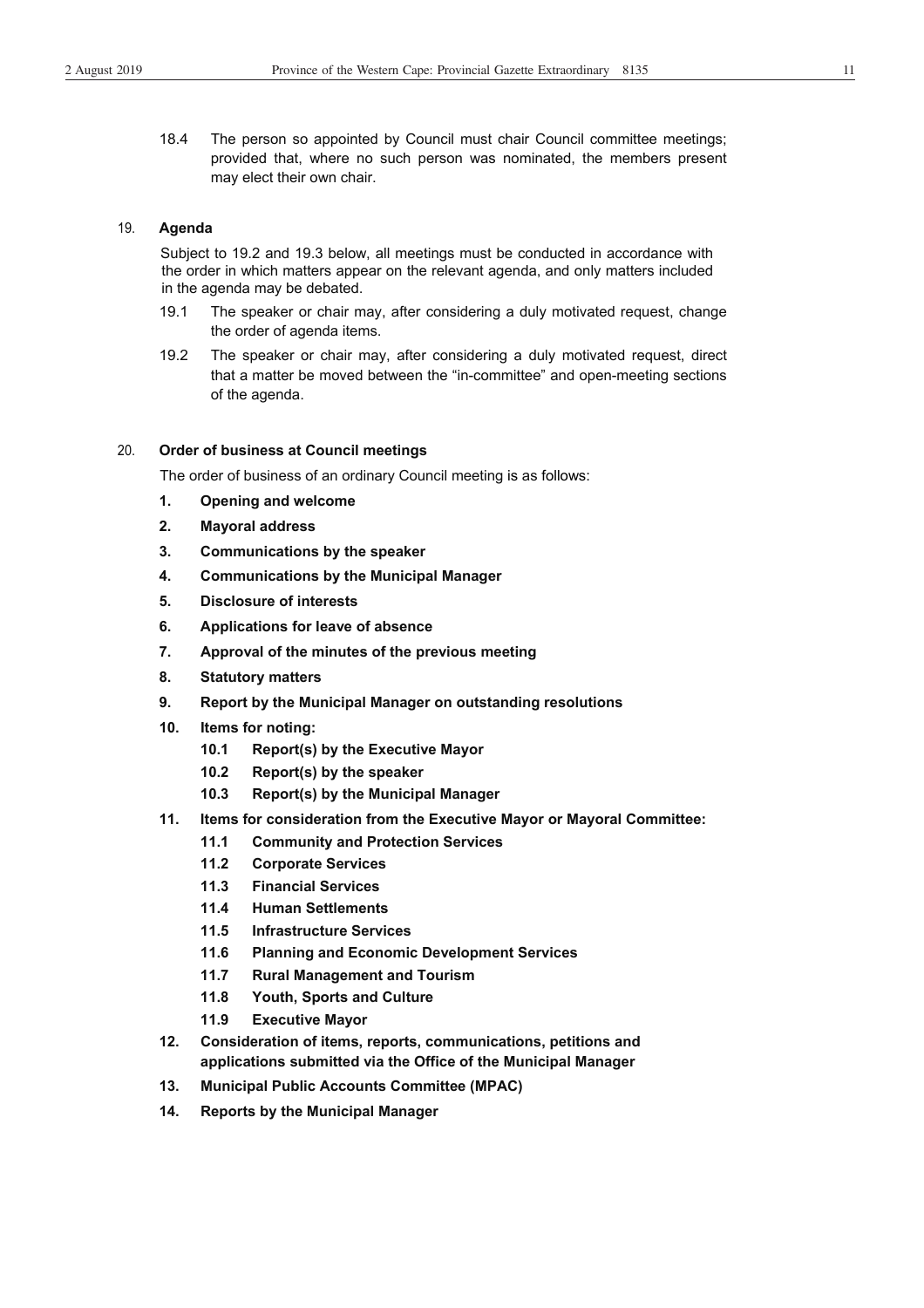18.4 The person so appointed by Council must chair Council committee meetings; provided that, where no such person was nominated, the members present may elect their own chair.

#### 19. **Agenda**

Subject to 19.2 and 19.3 below, all meetings must be conducted in accordance with the order in which matters appear on the relevant agenda, and only matters included in the agenda may be debated.

- 19.1 The speaker or chair may, after considering a duly motivated request, change the order of agenda items.
- 19.2 The speaker or chair may, after considering a duly motivated request, direct that a matter be moved between the "in-committee" and open-meeting sections of the agenda.

#### 20. **Order of business at Council meetings**

The order of business of an ordinary Council meeting is as follows:

- **1. Opening and welcome**
- **2. Mayoral address**
- **3. Communications by the speaker**
- **4. Communications by the Municipal Manager**
- **5. Disclosure of interests**
- **6. Applications for leave of absence**
- **7. Approval of the minutes of the previous meeting**
- **8. Statutory matters**
- **9. Report by the Municipal Manager on outstanding resolutions**
- **10. Items for noting:** 
	- **10.1 Report(s) by the Executive Mayor**
	- **10.2 Report(s) by the speaker**
	- **10.3 Report(s) by the Municipal Manager**
- **11. Items for consideration from the Executive Mayor or Mayoral Committee:** 
	- **11.1 Community and Protection Services**
	- **11.2 Corporate Services**
	- **11.3 Financial Services**
	- **11.4 Human Settlements**
	- **11.5 Infrastructure Services**
	- **11.6 Planning and Economic Development Services**
	- **11.7 Rural Management and Tourism**
	- **11.8 Youth, Sports and Culture**
	- **11.9 Executive Mayor**
- **12. Consideration of items, reports, communications, petitions and applications submitted via the Office of the Municipal Manager**
- **13. Municipal Public Accounts Committee (MPAC)**
- **14. Reports by the Municipal Manager**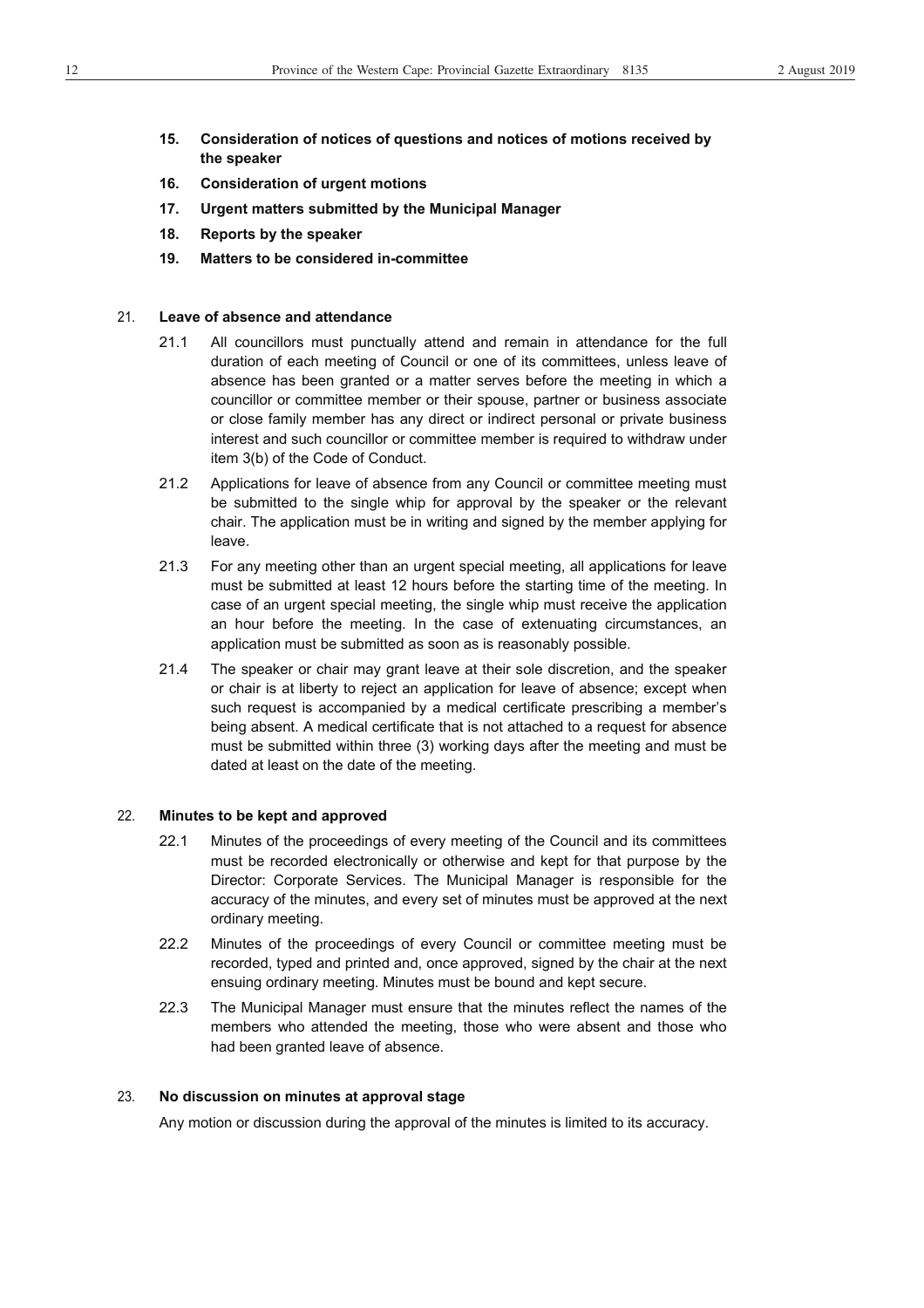- **15. Consideration of notices of questions and notices of motions received by the speaker**
- **16. Consideration of urgent motions**
- **17. Urgent matters submitted by the Municipal Manager**
- **18. Reports by the speaker**
- **19. Matters to be considered in-committee**

#### 21. **Leave of absence and attendance**

- 21.1 All councillors must punctually attend and remain in attendance for the full duration of each meeting of Council or one of its committees, unless leave of absence has been granted or a matter serves before the meeting in which a councillor or committee member or their spouse, partner or business associate or close family member has any direct or indirect personal or private business interest and such councillor or committee member is required to withdraw under item 3(b) of the Code of Conduct.
- 21.2 Applications for leave of absence from any Council or committee meeting must be submitted to the single whip for approval by the speaker or the relevant chair. The application must be in writing and signed by the member applying for leave.
- 21.3 For any meeting other than an urgent special meeting, all applications for leave must be submitted at least 12 hours before the starting time of the meeting. In case of an urgent special meeting, the single whip must receive the application an hour before the meeting. In the case of extenuating circumstances, an application must be submitted as soon as is reasonably possible.
- 21.4 The speaker or chair may grant leave at their sole discretion, and the speaker or chair is at liberty to reject an application for leave of absence; except when such request is accompanied by a medical certificate prescribing a member's being absent. A medical certificate that is not attached to a request for absence must be submitted within three (3) working days after the meeting and must be dated at least on the date of the meeting.

#### 22. **Minutes to be kept and approved**

- 22.1 Minutes of the proceedings of every meeting of the Council and its committees must be recorded electronically or otherwise and kept for that purpose by the Director: Corporate Services. The Municipal Manager is responsible for the accuracy of the minutes, and every set of minutes must be approved at the next ordinary meeting.
- 22.2 Minutes of the proceedings of every Council or committee meeting must be recorded, typed and printed and, once approved, signed by the chair at the next ensuing ordinary meeting. Minutes must be bound and kept secure.
- 22.3 The Municipal Manager must ensure that the minutes reflect the names of the members who attended the meeting, those who were absent and those who had been granted leave of absence.

#### 23. **No discussion on minutes at approval stage**

Any motion or discussion during the approval of the minutes is limited to its accuracy.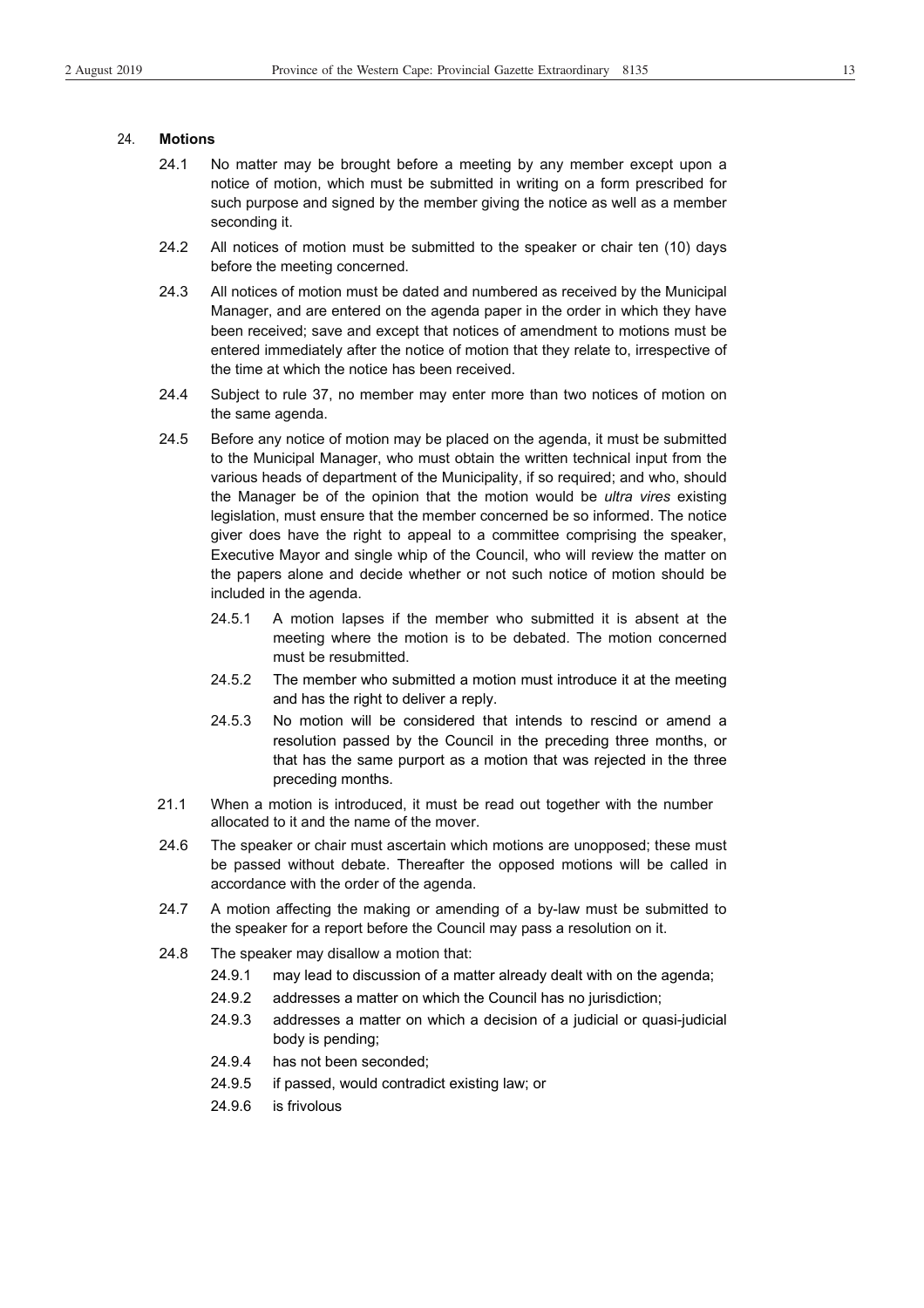#### 24. **Motions**

- 24.1 No matter may be brought before a meeting by any member except upon a notice of motion, which must be submitted in writing on a form prescribed for such purpose and signed by the member giving the notice as well as a member seconding it.
- 24.2 All notices of motion must be submitted to the speaker or chair ten (10) days before the meeting concerned.
- 24.3 All notices of motion must be dated and numbered as received by the Municipal Manager, and are entered on the agenda paper in the order in which they have been received; save and except that notices of amendment to motions must be entered immediately after the notice of motion that they relate to, irrespective of the time at which the notice has been received.
- 24.4 Subject to rule 37, no member may enter more than two notices of motion on the same agenda.
- 24.5 Before any notice of motion may be placed on the agenda, it must be submitted to the Municipal Manager, who must obtain the written technical input from the various heads of department of the Municipality, if so required; and who, should the Manager be of the opinion that the motion would be *ultra vires* existing legislation, must ensure that the member concerned be so informed. The notice giver does have the right to appeal to a committee comprising the speaker, Executive Mayor and single whip of the Council, who will review the matter on the papers alone and decide whether or not such notice of motion should be included in the agenda.
	- 24.5.1 A motion lapses if the member who submitted it is absent at the meeting where the motion is to be debated. The motion concerned must be resubmitted.
	- 24.5.2 The member who submitted a motion must introduce it at the meeting and has the right to deliver a reply.
	- 24.5.3 No motion will be considered that intends to rescind or amend a resolution passed by the Council in the preceding three months, or that has the same purport as a motion that was rejected in the three preceding months.
- 21.1 When a motion is introduced, it must be read out together with the number allocated to it and the name of the mover.
- 24.6 The speaker or chair must ascertain which motions are unopposed; these must be passed without debate. Thereafter the opposed motions will be called in accordance with the order of the agenda.
- 24.7 A motion affecting the making or amending of a by-law must be submitted to the speaker for a report before the Council may pass a resolution on it.
- 24.8 The speaker may disallow a motion that:
	- 24.9.1 may lead to discussion of a matter already dealt with on the agenda;
	- 24.9.2 addresses a matter on which the Council has no jurisdiction;
	- 24.9.3 addresses a matter on which a decision of a judicial or quasi-judicial body is pending;
	- 24.9.4 has not been seconded;
	- 24.9.5 if passed, would contradict existing law; or
	- 24.9.6 is frivolous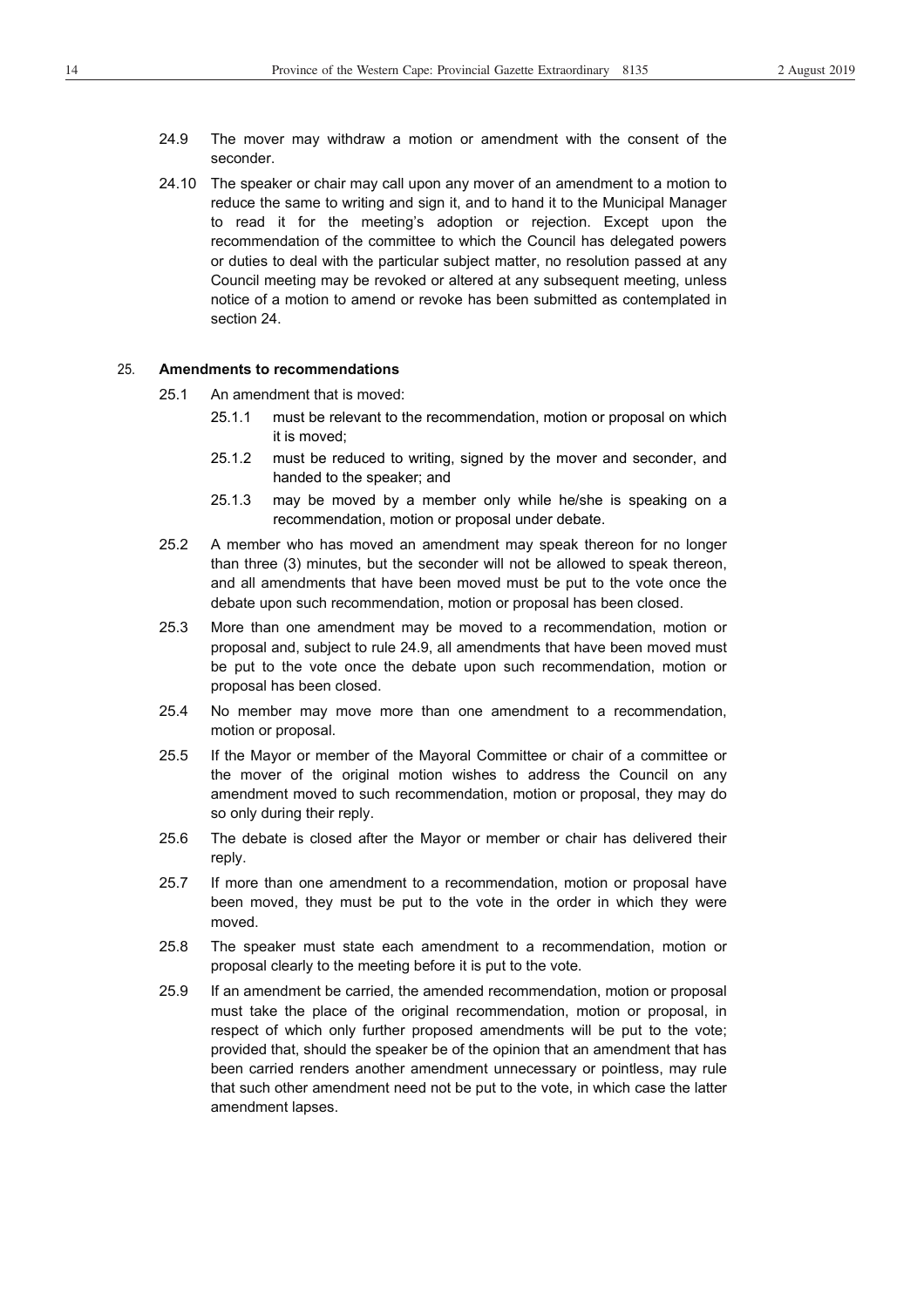- 24.9 The mover may withdraw a motion or amendment with the consent of the seconder.
- 24.10 The speaker or chair may call upon any mover of an amendment to a motion to reduce the same to writing and sign it, and to hand it to the Municipal Manager to read it for the meeting's adoption or rejection. Except upon the recommendation of the committee to which the Council has delegated powers or duties to deal with the particular subject matter, no resolution passed at any Council meeting may be revoked or altered at any subsequent meeting, unless notice of a motion to amend or revoke has been submitted as contemplated in section 24.

#### 25. **Amendments to recommendations**

- 25.1 An amendment that is moved:
	- 25.1.1 must be relevant to the recommendation, motion or proposal on which it is moved;
	- 25.1.2 must be reduced to writing, signed by the mover and seconder, and handed to the speaker; and
	- 25.1.3 may be moved by a member only while he/she is speaking on a recommendation, motion or proposal under debate.
- 25.2 A member who has moved an amendment may speak thereon for no longer than three (3) minutes, but the seconder will not be allowed to speak thereon, and all amendments that have been moved must be put to the vote once the debate upon such recommendation, motion or proposal has been closed.
- 25.3 More than one amendment may be moved to a recommendation, motion or proposal and, subject to rule 24.9, all amendments that have been moved must be put to the vote once the debate upon such recommendation, motion or proposal has been closed.
- 25.4 No member may move more than one amendment to a recommendation, motion or proposal.
- 25.5 If the Mayor or member of the Mayoral Committee or chair of a committee or the mover of the original motion wishes to address the Council on any amendment moved to such recommendation, motion or proposal, they may do so only during their reply.
- 25.6 The debate is closed after the Mayor or member or chair has delivered their reply.
- 25.7 If more than one amendment to a recommendation, motion or proposal have been moved, they must be put to the vote in the order in which they were moved.
- 25.8 The speaker must state each amendment to a recommendation, motion or proposal clearly to the meeting before it is put to the vote.
- 25.9 If an amendment be carried, the amended recommendation, motion or proposal must take the place of the original recommendation, motion or proposal, in respect of which only further proposed amendments will be put to the vote; provided that, should the speaker be of the opinion that an amendment that has been carried renders another amendment unnecessary or pointless, may rule that such other amendment need not be put to the vote, in which case the latter amendment lapses.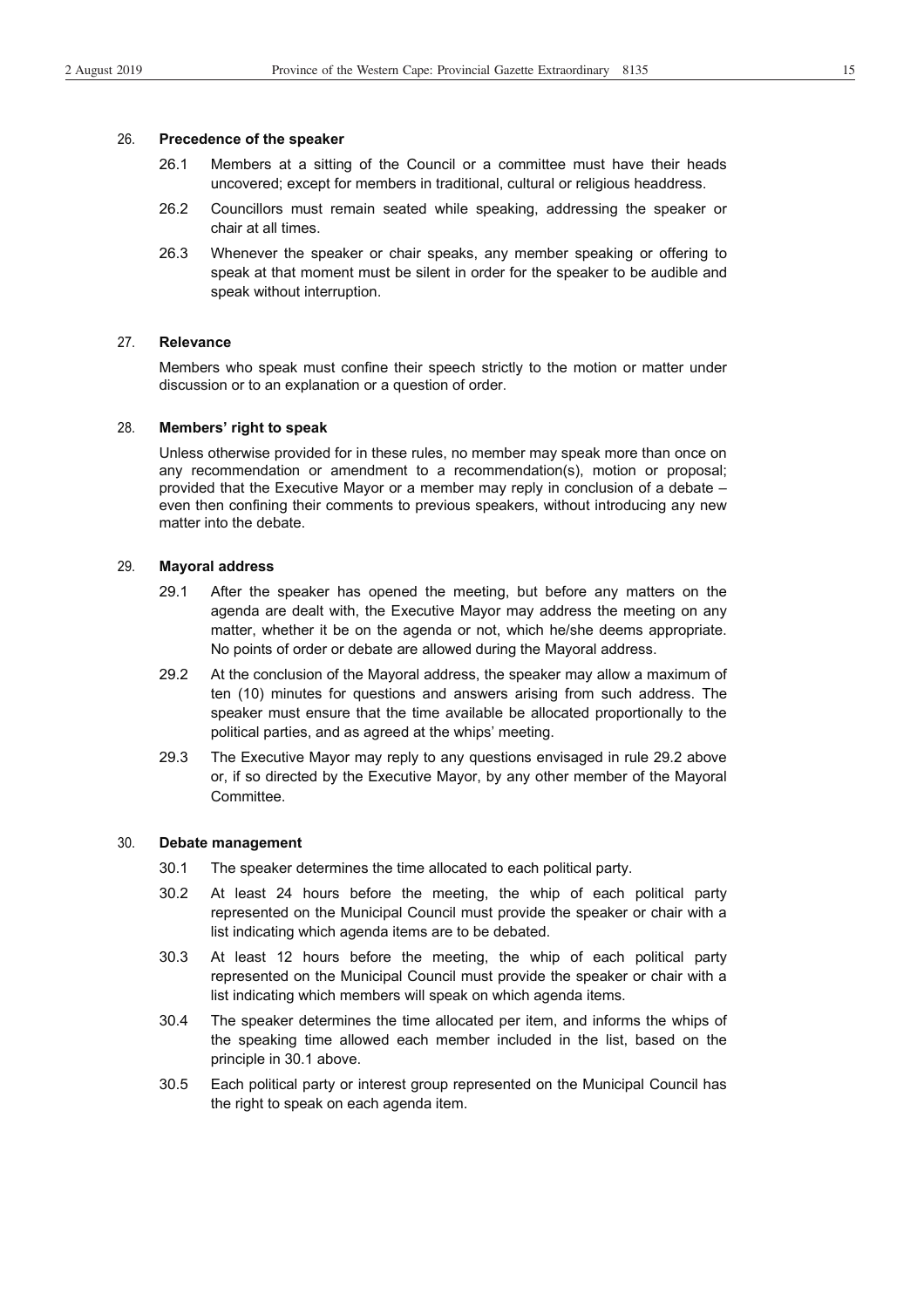#### 26. **Precedence of the speaker**

- 26.1 Members at a sitting of the Council or a committee must have their heads uncovered; except for members in traditional, cultural or religious headdress.
- 26.2 Councillors must remain seated while speaking, addressing the speaker or chair at all times.
- 26.3 Whenever the speaker or chair speaks, any member speaking or offering to speak at that moment must be silent in order for the speaker to be audible and speak without interruption.

#### 27. **Relevance**

Members who speak must confine their speech strictly to the motion or matter under discussion or to an explanation or a question of order.

#### 28. **Members' right to speak**

Unless otherwise provided for in these rules, no member may speak more than once on any recommendation or amendment to a recommendation(s), motion or proposal; provided that the Executive Mayor or a member may reply in conclusion of a debate – even then confining their comments to previous speakers, without introducing any new matter into the debate.

#### 29. **Mayoral address**

- 29.1 After the speaker has opened the meeting, but before any matters on the agenda are dealt with, the Executive Mayor may address the meeting on any matter, whether it be on the agenda or not, which he/she deems appropriate. No points of order or debate are allowed during the Mayoral address.
- 29.2 At the conclusion of the Mayoral address, the speaker may allow a maximum of ten (10) minutes for questions and answers arising from such address. The speaker must ensure that the time available be allocated proportionally to the political parties, and as agreed at the whips' meeting.
- 29.3 The Executive Mayor may reply to any questions envisaged in rule 29.2 above or, if so directed by the Executive Mayor, by any other member of the Mayoral Committee.

#### 30. **Debate management**

- 30.1 The speaker determines the time allocated to each political party.
- 30.2 At least 24 hours before the meeting, the whip of each political party represented on the Municipal Council must provide the speaker or chair with a list indicating which agenda items are to be debated.
- 30.3 At least 12 hours before the meeting, the whip of each political party represented on the Municipal Council must provide the speaker or chair with a list indicating which members will speak on which agenda items.
- 30.4 The speaker determines the time allocated per item, and informs the whips of the speaking time allowed each member included in the list, based on the principle in 30.1 above.
- 30.5 Each political party or interest group represented on the Municipal Council has the right to speak on each agenda item.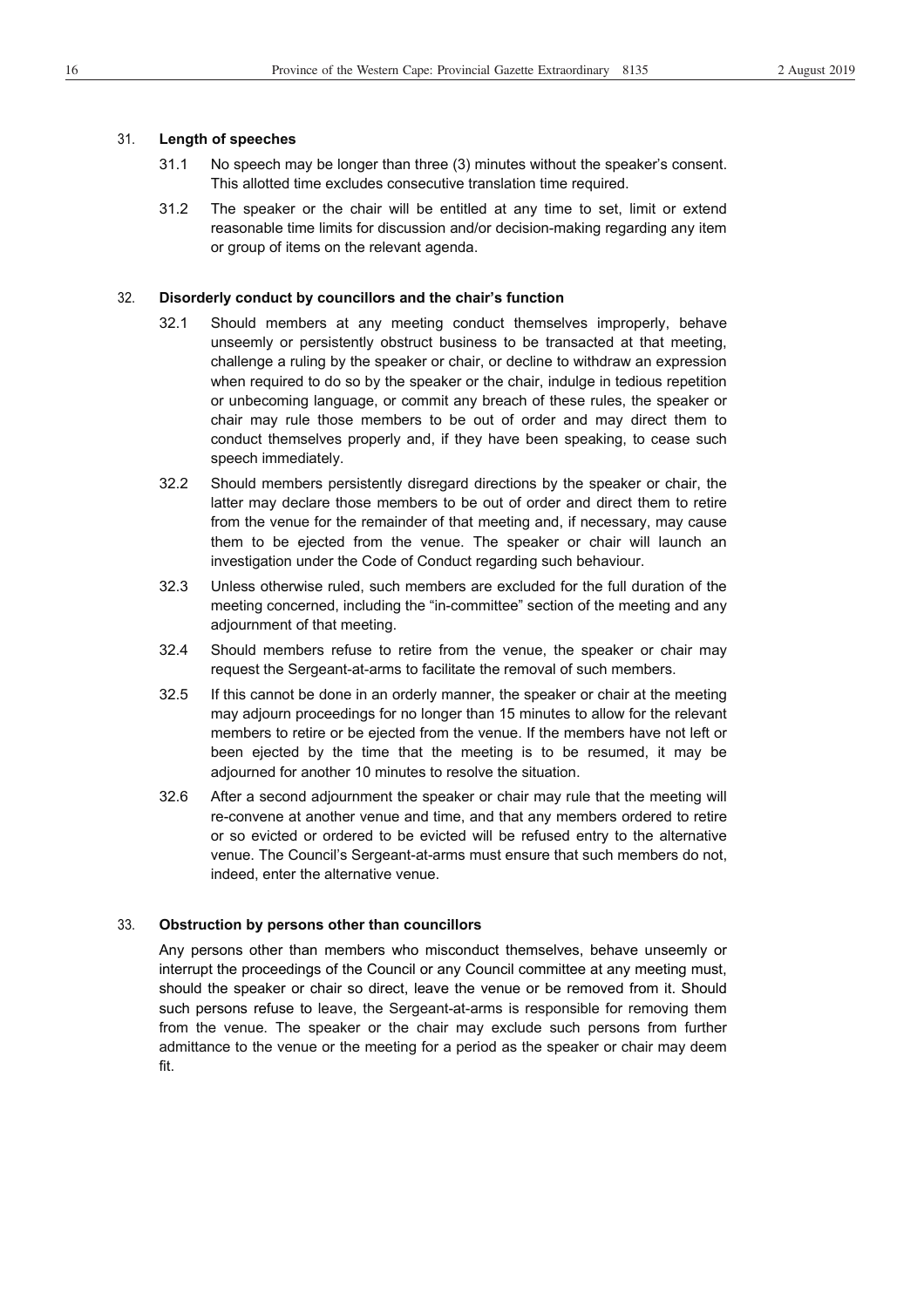#### 31. **Length of speeches**

- 31.1 No speech may be longer than three (3) minutes without the speaker's consent. This allotted time excludes consecutive translation time required.
- 31.2 The speaker or the chair will be entitled at any time to set, limit or extend reasonable time limits for discussion and/or decision-making regarding any item or group of items on the relevant agenda.

#### 32. **Disorderly conduct by councillors and the chair's function**

- 32.1 Should members at any meeting conduct themselves improperly, behave unseemly or persistently obstruct business to be transacted at that meeting, challenge a ruling by the speaker or chair, or decline to withdraw an expression when required to do so by the speaker or the chair, indulge in tedious repetition or unbecoming language, or commit any breach of these rules, the speaker or chair may rule those members to be out of order and may direct them to conduct themselves properly and, if they have been speaking, to cease such speech immediately.
- 32.2 Should members persistently disregard directions by the speaker or chair, the latter may declare those members to be out of order and direct them to retire from the venue for the remainder of that meeting and, if necessary, may cause them to be ejected from the venue. The speaker or chair will launch an investigation under the Code of Conduct regarding such behaviour.
- 32.3 Unless otherwise ruled, such members are excluded for the full duration of the meeting concerned, including the "in-committee" section of the meeting and any adjournment of that meeting.
- 32.4 Should members refuse to retire from the venue, the speaker or chair may request the Sergeant-at-arms to facilitate the removal of such members.
- 32.5 If this cannot be done in an orderly manner, the speaker or chair at the meeting may adjourn proceedings for no longer than 15 minutes to allow for the relevant members to retire or be ejected from the venue. If the members have not left or been ejected by the time that the meeting is to be resumed, it may be adjourned for another 10 minutes to resolve the situation.
- 32.6 After a second adjournment the speaker or chair may rule that the meeting will re-convene at another venue and time, and that any members ordered to retire or so evicted or ordered to be evicted will be refused entry to the alternative venue. The Council's Sergeant-at-arms must ensure that such members do not, indeed, enter the alternative venue.

#### 33. **Obstruction by persons other than councillors**

Any persons other than members who misconduct themselves, behave unseemly or interrupt the proceedings of the Council or any Council committee at any meeting must, should the speaker or chair so direct, leave the venue or be removed from it. Should such persons refuse to leave, the Sergeant-at-arms is responsible for removing them from the venue. The speaker or the chair may exclude such persons from further admittance to the venue or the meeting for a period as the speaker or chair may deem fit.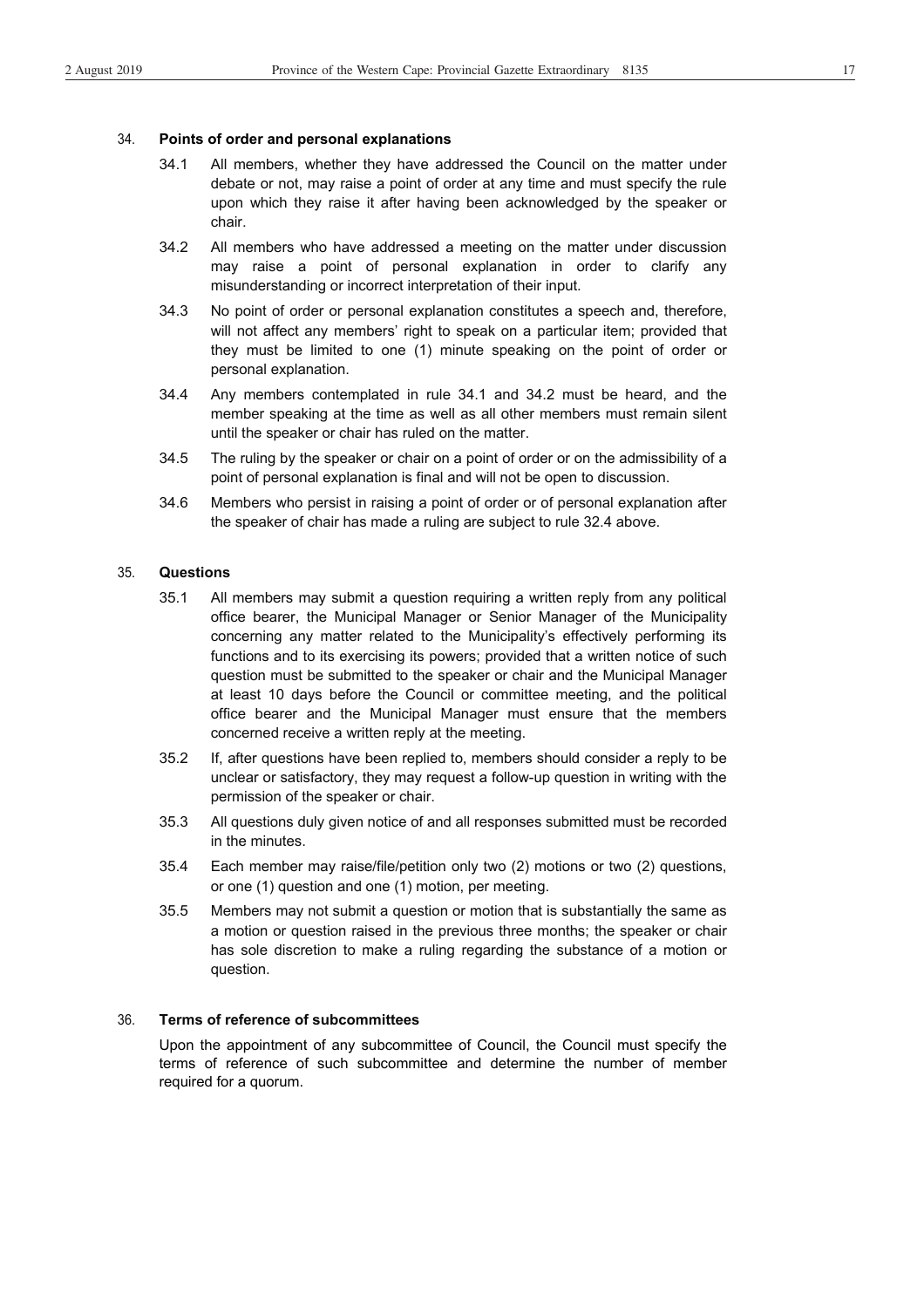#### 34. **Points of order and personal explanations**

- 34.1 All members, whether they have addressed the Council on the matter under debate or not, may raise a point of order at any time and must specify the rule upon which they raise it after having been acknowledged by the speaker or chair.
- 34.2 All members who have addressed a meeting on the matter under discussion may raise a point of personal explanation in order to clarify any misunderstanding or incorrect interpretation of their input.
- 34.3 No point of order or personal explanation constitutes a speech and, therefore, will not affect any members' right to speak on a particular item; provided that they must be limited to one (1) minute speaking on the point of order or personal explanation.
- 34.4 Any members contemplated in rule 34.1 and 34.2 must be heard, and the member speaking at the time as well as all other members must remain silent until the speaker or chair has ruled on the matter.
- 34.5 The ruling by the speaker or chair on a point of order or on the admissibility of a point of personal explanation is final and will not be open to discussion.
- 34.6 Members who persist in raising a point of order or of personal explanation after the speaker of chair has made a ruling are subject to rule 32.4 above.

#### 35. **Questions**

- 35.1 All members may submit a question requiring a written reply from any political office bearer, the Municipal Manager or Senior Manager of the Municipality concerning any matter related to the Municipality's effectively performing its functions and to its exercising its powers; provided that a written notice of such question must be submitted to the speaker or chair and the Municipal Manager at least 10 days before the Council or committee meeting, and the political office bearer and the Municipal Manager must ensure that the members concerned receive a written reply at the meeting.
- 35.2 If, after questions have been replied to, members should consider a reply to be unclear or satisfactory, they may request a follow-up question in writing with the permission of the speaker or chair.
- 35.3 All questions duly given notice of and all responses submitted must be recorded in the minutes.
- 35.4 Each member may raise/file/petition only two (2) motions or two (2) questions, or one (1) question and one (1) motion, per meeting.
- 35.5 Members may not submit a question or motion that is substantially the same as a motion or question raised in the previous three months; the speaker or chair has sole discretion to make a ruling regarding the substance of a motion or question.

#### 36. **Terms of reference of subcommittees**

Upon the appointment of any subcommittee of Council, the Council must specify the terms of reference of such subcommittee and determine the number of member required for a quorum.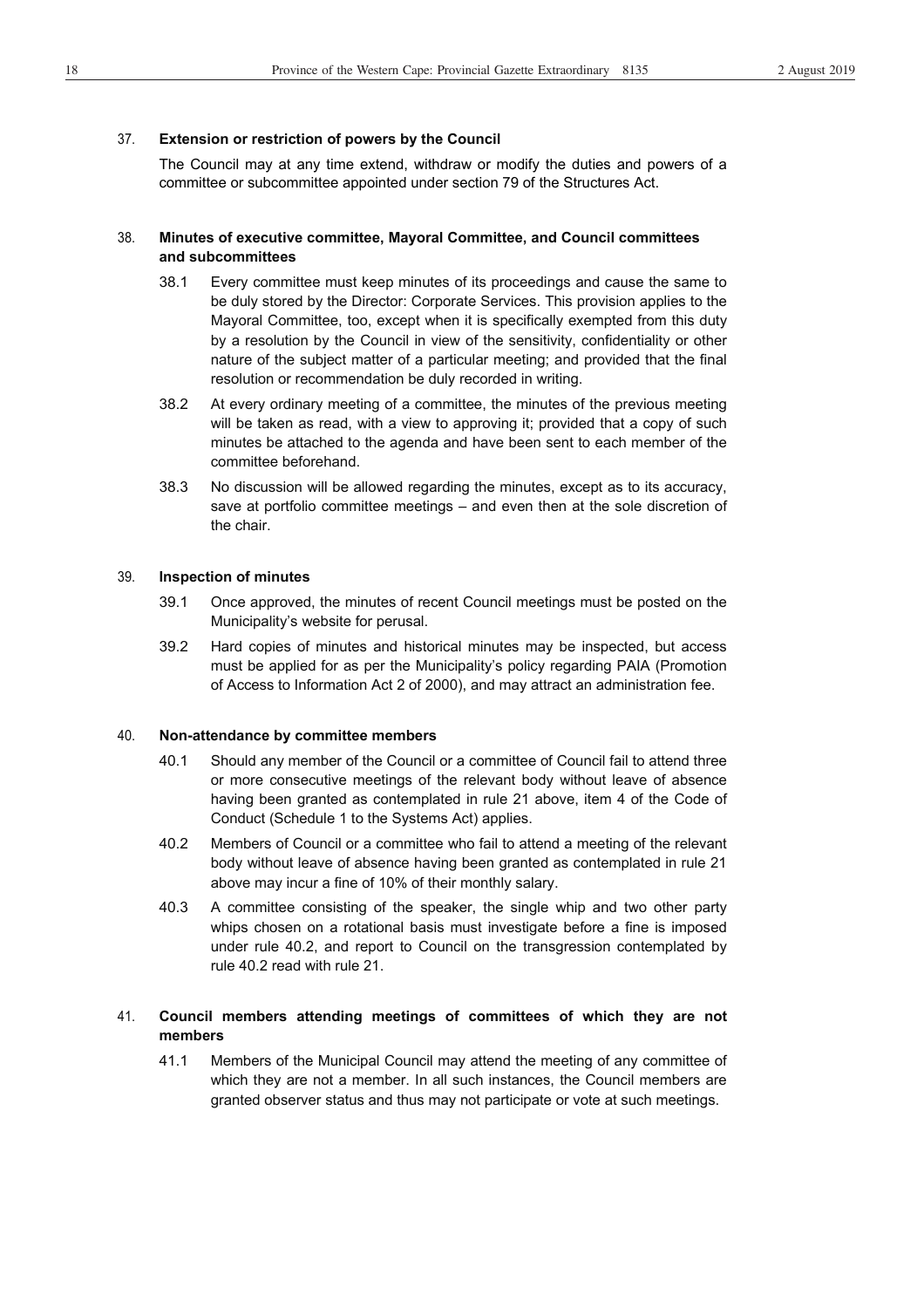#### 37. **Extension or restriction of powers by the Council**

The Council may at any time extend, withdraw or modify the duties and powers of a committee or subcommittee appointed under section 79 of the Structures Act.

#### 38. **Minutes of executive committee, Mayoral Committee, and Council committees and subcommittees**

- 38.1 Every committee must keep minutes of its proceedings and cause the same to be duly stored by the Director: Corporate Services. This provision applies to the Mayoral Committee, too, except when it is specifically exempted from this duty by a resolution by the Council in view of the sensitivity, confidentiality or other nature of the subject matter of a particular meeting; and provided that the final resolution or recommendation be duly recorded in writing.
- 38.2 At every ordinary meeting of a committee, the minutes of the previous meeting will be taken as read, with a view to approving it; provided that a copy of such minutes be attached to the agenda and have been sent to each member of the committee beforehand.
- 38.3 No discussion will be allowed regarding the minutes, except as to its accuracy, save at portfolio committee meetings – and even then at the sole discretion of the chair.

#### 39. **Inspection of minutes**

- 39.1 Once approved, the minutes of recent Council meetings must be posted on the Municipality's website for perusal.
- 39.2 Hard copies of minutes and historical minutes may be inspected, but access must be applied for as per the Municipality's policy regarding PAIA (Promotion of Access to Information Act 2 of 2000), and may attract an administration fee.

#### 40. **Non-attendance by committee members**

- 40.1 Should any member of the Council or a committee of Council fail to attend three or more consecutive meetings of the relevant body without leave of absence having been granted as contemplated in rule 21 above, item 4 of the Code of Conduct (Schedule 1 to the Systems Act) applies.
- 40.2 Members of Council or a committee who fail to attend a meeting of the relevant body without leave of absence having been granted as contemplated in rule 21 above may incur a fine of 10% of their monthly salary.
- 40.3 A committee consisting of the speaker, the single whip and two other party whips chosen on a rotational basis must investigate before a fine is imposed under rule 40.2, and report to Council on the transgression contemplated by rule 40.2 read with rule 21.

#### 41. **Council members attending meetings of committees of which they are not members**

41.1 Members of the Municipal Council may attend the meeting of any committee of which they are not a member. In all such instances, the Council members are granted observer status and thus may not participate or vote at such meetings.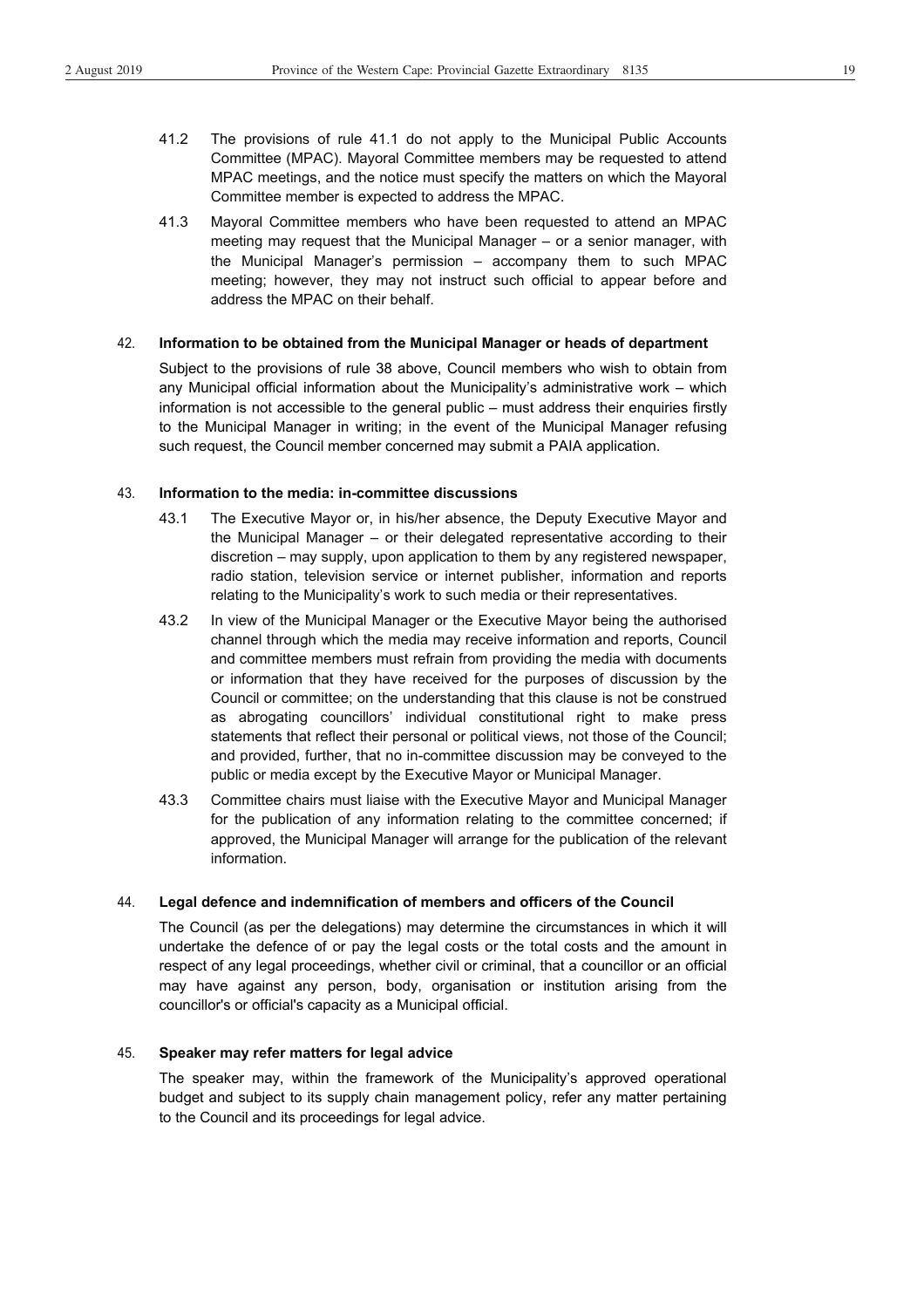- 41.2 The provisions of rule 41.1 do not apply to the Municipal Public Accounts Committee (MPAC). Mayoral Committee members may be requested to attend MPAC meetings, and the notice must specify the matters on which the Mayoral
- 41.3 Mayoral Committee members who have been requested to attend an MPAC meeting may request that the Municipal Manager – or a senior manager, with the Municipal Manager's permission – accompany them to such MPAC meeting; however, they may not instruct such official to appear before and address the MPAC on their behalf.

#### 42. **Information to be obtained from the Municipal Manager or heads of department**

Committee member is expected to address the MPAC.

Subject to the provisions of rule 38 above, Council members who wish to obtain from any Municipal official information about the Municipality's administrative work – which information is not accessible to the general public – must address their enquiries firstly to the Municipal Manager in writing; in the event of the Municipal Manager refusing such request, the Council member concerned may submit a PAIA application.

#### 43. **Information to the media: in-committee discussions**

- 43.1 The Executive Mayor or, in his/her absence, the Deputy Executive Mayor and the Municipal Manager – or their delegated representative according to their discretion – may supply, upon application to them by any registered newspaper, radio station, television service or internet publisher, information and reports relating to the Municipality's work to such media or their representatives.
- 43.2 In view of the Municipal Manager or the Executive Mayor being the authorised channel through which the media may receive information and reports, Council and committee members must refrain from providing the media with documents or information that they have received for the purposes of discussion by the Council or committee; on the understanding that this clause is not be construed as abrogating councillors' individual constitutional right to make press statements that reflect their personal or political views, not those of the Council; and provided, further, that no in-committee discussion may be conveyed to the public or media except by the Executive Mayor or Municipal Manager.
- 43.3 Committee chairs must liaise with the Executive Mayor and Municipal Manager for the publication of any information relating to the committee concerned; if approved, the Municipal Manager will arrange for the publication of the relevant information.

#### 44. **Legal defence and indemnification of members and officers of the Council**

The Council (as per the delegations) may determine the circumstances in which it will undertake the defence of or pay the legal costs or the total costs and the amount in respect of any legal proceedings, whether civil or criminal, that a councillor or an official may have against any person, body, organisation or institution arising from the councillor's or official's capacity as a Municipal official.

#### 45. **Speaker may refer matters for legal advice**

The speaker may, within the framework of the Municipality's approved operational budget and subject to its supply chain management policy, refer any matter pertaining to the Council and its proceedings for legal advice.